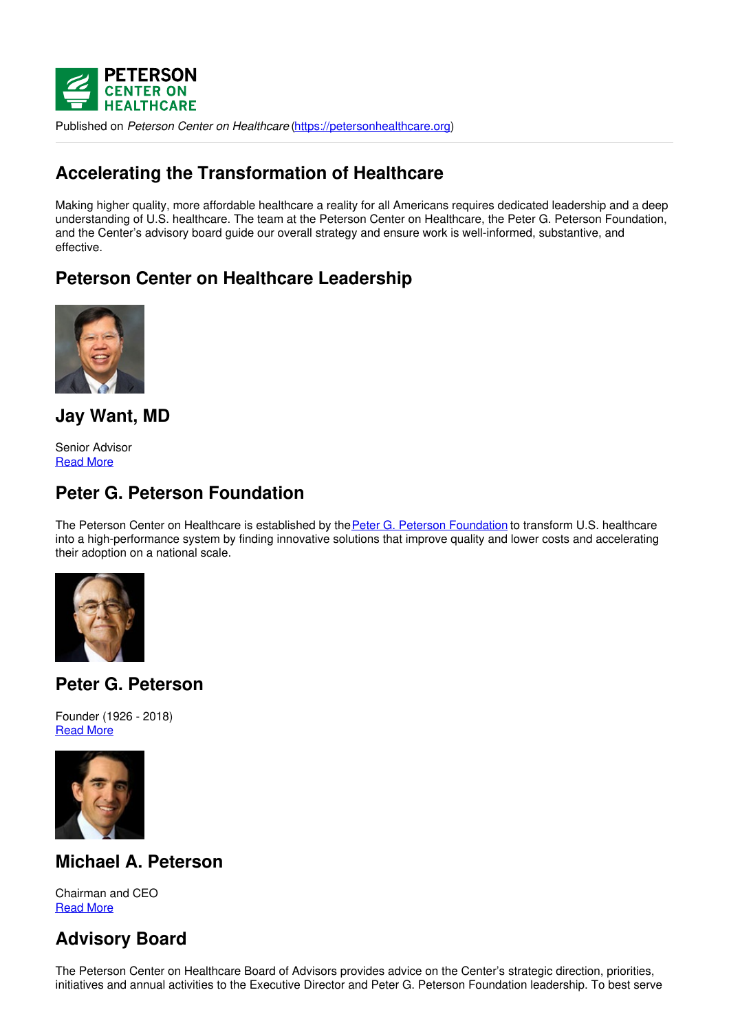

Published on *Peterson Center on Healthcare* [\(https://petersonhealthcare.org](https://petersonhealthcare.org))

## **Accelerating the Transformation of Healthcare**

Making higher quality, more affordable healthcare a reality for all Americans requires dedicated leadership and a deep understanding of U.S. healthcare. The team at the Peterson Center on Healthcare, the Peter G. Peterson Foundation, and the Center's advisory board guide our overall strategy and ensure work is well-informed, substantive, and effective.

## **Peterson Center on Healthcare Leadership**



**Jay Want, MD**

Senior Advisor [Read](file:///leadership/bio-jay-want) More

## **Peter G. Peterson Foundation**

The Peterson Center on Healthcare is established by the Peter G. Peterson [Foundation](http://pgpf.org) to transform U.S. healthcare into a high-performance system by finding innovative solutions that improve quality and lower costs and accelerating their adoption on a national scale.



## **Peter G. Peterson**

Founder (1926 - 2018) **[Read](https://www.pgpf.org/our-founder) More** 



## **Michael A. Peterson**

Chairman and CEO [Read](https://www.pgpf.org/board/michael-a-peterson) More

# **Advisory Board**

The Peterson Center on Healthcare Board of Advisors provides advice on the Center's strategic direction, priorities, initiatives and annual activities to the Executive Director and Peter G. Peterson Foundation leadership. To best serve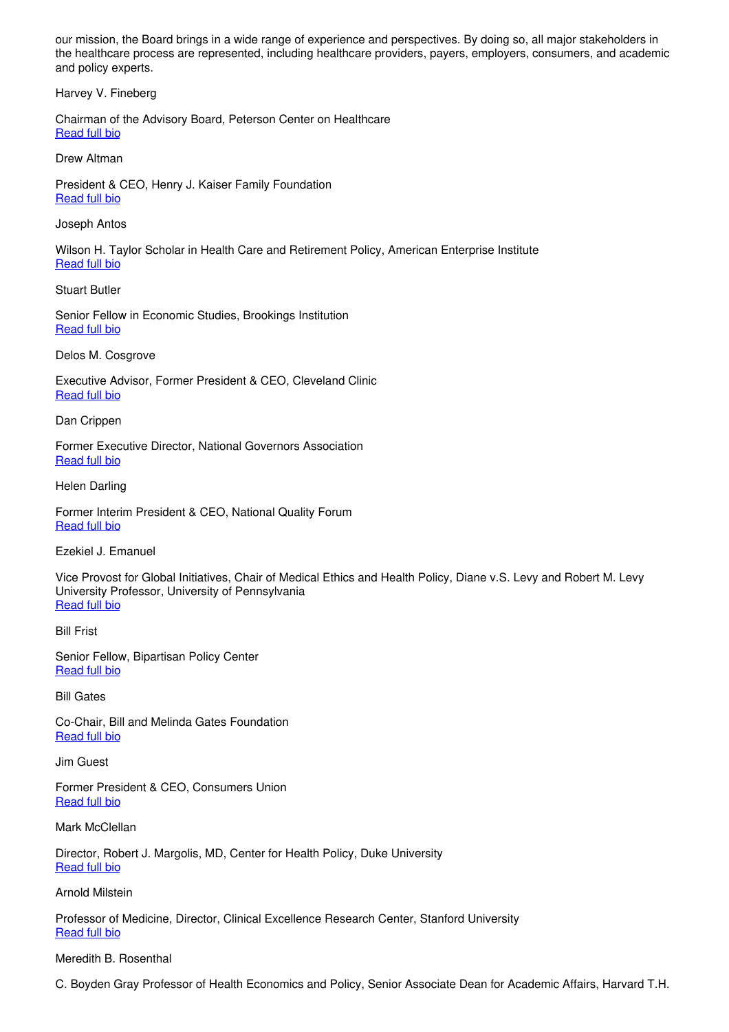our mission, the Board brings in a wide range of experience and perspectives. By doing so, all major stakeholders in the healthcare process are represented, including healthcare providers, payers, employers, consumers, and academic and policy experts.

Harvey V. Fineberg

Chairman of the Advisory Board, Peterson Center on Healthcare [Read](file:///leadership/bio-harvey-fineberg) full bio

Drew Altman

President & CEO, Henry J. Kaiser Family Foundation [Read](file:///leadership/bio-drew-altman) full bio

Joseph Antos

Wilson H. Taylor Scholar in Health Care and Retirement Policy, American Enterprise Institute [Read](file:///leadership/bio-joseph-antos) full bio

Stuart Butler

Senior Fellow in Economic Studies, Brookings Institution [Read](file:///leadership/bio-stuart-butler) full bio

Delos M. Cosgrove

Executive Advisor, Former President & CEO, Cleveland Clinic **[Read](file:///leadership/bio-delos-cosgrove) full bio** 

Dan Crippen

Former Executive Director, National Governors Association [Read](file:///leadership/bio-dan-crippen) full bio

Helen Darling

Former Interim President & CEO, National Quality Forum **[Read](file:///leadership/bio-helen-darling) full bio** 

Ezekiel J. Emanuel

Vice Provost for Global Initiatives, Chair of Medical Ethics and Health Policy, Diane v.S. Levy and Robert M. Levy University Professor, University of Pennsylvania **[Read](file:///leadership/bio-ezekiel-emanuel) full bio** 

Bill Frist

Senior Fellow, Bipartisan Policy Center [Read](file:///leadership/bio-bill-frist) full bio

Bill Gates

Co-Chair, Bill and Melinda Gates Foundation [Read](file:///leadership/bio-bill-gates) full bio

Jim Guest

Former President & CEO, Consumers Union [Read](file:///leadership/bio-jim-guest) full bio

Mark McClellan

Director, Robert J. Margolis, MD, Center for Health Policy, Duke University [Read](file:///leadership/bio-mark-mcclellan) full bio

Arnold Milstein

Professor of Medicine, Director, Clinical Excellence Research Center, Stanford University [Read](file:///leadership/bio-arnold-milstein) full bio

#### Meredith B. Rosenthal

C. Boyden Gray Professor of Health Economics and Policy, Senior Associate Dean for Academic Affairs, Harvard T.H.